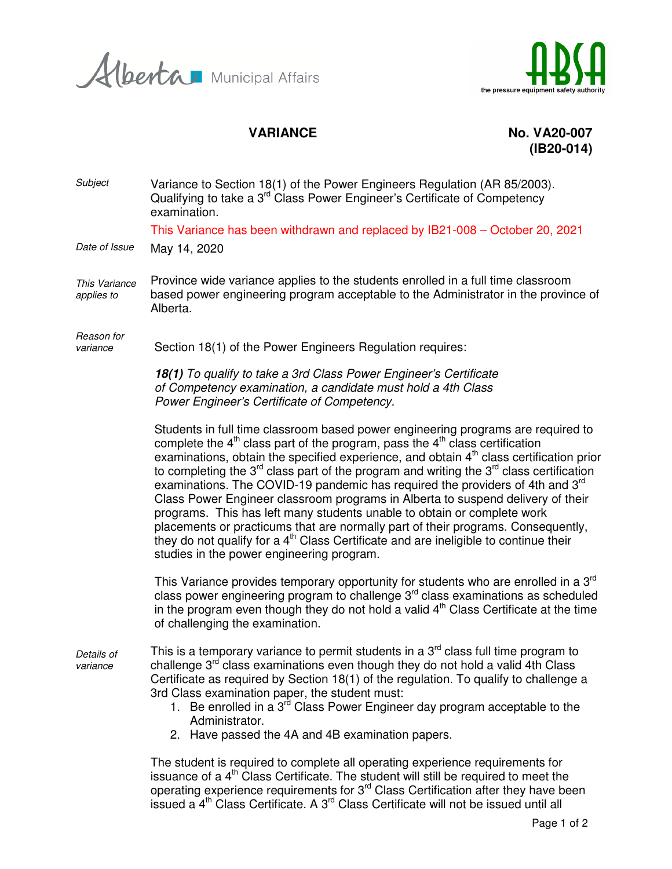Herta Municipal Affairs



VARIANCE No. VA20-007 **(IB20-014)** 

Subject Variance to Section 18(1) of the Power Engineers Regulation (AR 85/2003). Qualifying to take a 3<sup>rd</sup> Class Power Engineer's Certificate of Competency examination. This Variance has been withdrawn and replaced by IB21-008 – October 20, 2021 Date of Issue May 14, 2020 This Variance applies to Province wide variance applies to the students enrolled in a full time classroom based power engineering program acceptable to the Administrator in the province of Alberta. Reason for variance Section 18(1) of the Power Engineers Regulation requires: **18(1)** To qualify to take a 3rd Class Power Engineer's Certificate of Competency examination, a candidate must hold a 4th Class Power Engineer's Certificate of Competency. Students in full time classroom based power engineering programs are required to complete the  $4<sup>th</sup>$  class part of the program, pass the  $4<sup>th</sup>$  class certification examinations, obtain the specified experience, and obtain  $4<sup>th</sup>$  class certification prior to completing the  $3<sup>rd</sup>$  class part of the program and writing the  $3<sup>rd</sup>$  class certification examinations. The COVID-19 pandemic has required the providers of 4th and  $3<sup>rd</sup>$ Class Power Engineer classroom programs in Alberta to suspend delivery of their programs. This has left many students unable to obtain or complete work placements or practicums that are normally part of their programs. Consequently, they do not qualify for a  $4<sup>th</sup>$  Class Certificate and are ineligible to continue their studies in the power engineering program. This Variance provides temporary opportunity for students who are enrolled in a  $3<sup>rd</sup>$ class power engineering program to challenge  $3<sup>rd</sup>$  class examinations as scheduled in the program even though they do not hold a valid  $4<sup>th</sup>$  Class Certificate at the time of challenging the examination. Details of variance This is a temporary variance to permit students in a  $3<sup>rd</sup>$  class full time program to challenge  $3<sup>rd</sup>$  class examinations even though they do not hold a valid 4th Class Certificate as required by Section 18(1) of the regulation. To qualify to challenge a 3rd Class examination paper, the student must: 1. Be enrolled in a  $3<sup>rd</sup>$  Class Power Engineer day program acceptable to the Administrator. 2. Have passed the 4A and 4B examination papers. The student is required to complete all operating experience requirements for issuance of a  $4<sup>th</sup>$  Class Certificate. The student will still be required to meet the operating experience requirements for 3<sup>rd</sup> Class Certification after they have been

issued a  $4<sup>th</sup>$  Class Certificate. A  $3<sup>rd</sup>$  Class Certificate will not be issued until all